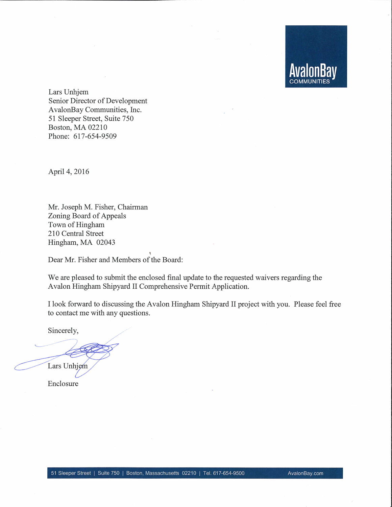Lars Unhjem Senior Director of Development AvalonBay Communities, Inc. 51 Sleeper Street, Suite 750 Boston, MA 02210 Phone: 617-654-9509

April 4, 2016

Mr. Joseph M. Fisher, Chairman Zoning Board of Appeals Town of Hingham 210 Central Street Hingham, MA 02043

Dear Mr. Fisher and Members of the Board:

We are pleased to submit the enclosed final update to the requested waivers regarding the Avalon Hingham Shipyard II Comprehensive Permit Application.

I look forward to discussing the Avalon Hingham Shipyard II project with you. Please feel free to contact me with any questions.

Sincerely,

Lars Unhjem

Enclosure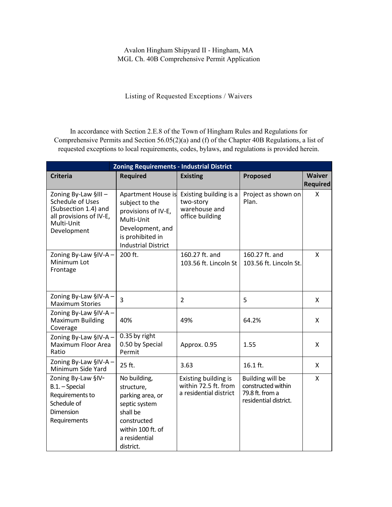Listing of Requested Exceptions / Waivers

In accordance with Section 2.E.8 of the Town of Hingham Rules and Regulations for Comprehensive Permits and Section 56.05(2)(a) and (f) of the Chapter 40B Regulations, a list of requested exceptions to local requirements, codes, bylaws, and regulations is provided herein.

| <b>Zoning Requirements - Industrial District</b>                                                                        |                                                                                                                                                 |                                                                         |                                                                                           |                                  |  |  |
|-------------------------------------------------------------------------------------------------------------------------|-------------------------------------------------------------------------------------------------------------------------------------------------|-------------------------------------------------------------------------|-------------------------------------------------------------------------------------------|----------------------------------|--|--|
| <b>Criteria</b>                                                                                                         | <b>Required</b>                                                                                                                                 | <b>Existing</b>                                                         | Proposed                                                                                  | <b>Waiver</b><br><b>Required</b> |  |  |
| Zoning By-Law §III-<br>Schedule of Uses<br>(Subsection 1.4) and<br>all provisions of IV-E,<br>Multi-Unit<br>Development | Apartment House is<br>subject to the<br>provisions of IV-E,<br>Multi-Unit<br>Development, and<br>is prohibited in<br><b>Industrial District</b> | Existing building is a<br>two-story<br>warehouse and<br>office building | Project as shown on<br>Plan.                                                              | X                                |  |  |
| Zoning By-Law §IV-A-<br>Minimum Lot<br>Frontage                                                                         | 200 ft.                                                                                                                                         | 160.27 ft. and<br>103.56 ft. Lincoln St                                 | 160.27 ft. and<br>103.56 ft. Lincoln St.                                                  | X                                |  |  |
| Zoning By-Law §IV-A -<br><b>Maximum Stories</b>                                                                         | $\overline{3}$                                                                                                                                  | $\overline{2}$                                                          | 5                                                                                         | X                                |  |  |
| Zoning By-Law §IV-A -<br><b>Maximum Building</b><br>Coverage                                                            | 40%                                                                                                                                             | 49%                                                                     | 64.2%                                                                                     | X                                |  |  |
| Zoning By-Law §IV-A-<br>Maximum Floor Area<br>Ratio                                                                     | 0.35 by right<br>0.50 by Special<br>Permit                                                                                                      | Approx. 0.95                                                            | 1.55                                                                                      | X                                |  |  |
| Zoning By-Law §IV-A-<br>Minimum Side Yard                                                                               | 25 ft.                                                                                                                                          | 3.63                                                                    | 16.1 ft.                                                                                  | X                                |  |  |
| Zoning By-Law §IV-<br>B.1. - Special<br>Requirements to<br>Schedule of<br><b>Dimension</b><br>Requirements              | No building,<br>structure,<br>parking area, or<br>septic system<br>shall be<br>constructed<br>within 100 ft. of<br>a residential<br>district.   | Existing building is<br>within 72.5 ft. from<br>a residential district  | <b>Building will be</b><br>constructed within<br>79.8 ft. from a<br>residential district. | X                                |  |  |